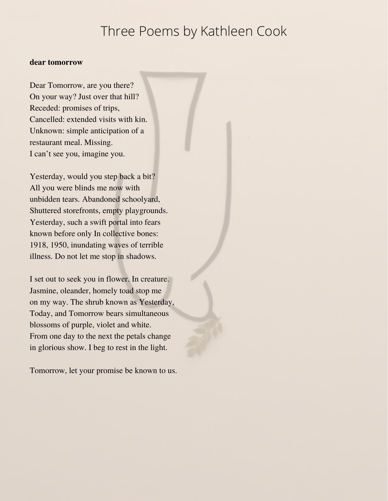# Three Poems by Kathleen Cook

## **dear tomorrow**

Dear Tomorrow, are you there? On your way? Just over that hill? Receded: promises of trips, Cancelled: extended visits with kin. Unknown: simple anticipation of a restaurant meal. Missing. I can't see you, imagine you.

Yesterday, would you step back a bit? All you were blinds me now with unbidden tears. Abandoned schoolyard, Shuttered storefronts, empty playgrounds. Yesterday, such a swift portal into fears known before only In collective bones: 1918, 1950, inundating waves of terrible illness. Do not let me stop in shadows.

I set out to seek you in flower. In creature. Jasmine, oleander, homely toad stop me on my way. The shrub known as Yesterday, Today, and Tomorrow bears simultaneous blossoms of purple, violet and white. From one day to the next the petals change in glorious show. I beg to rest in the light.

Tomorrow, let your promise be known to us.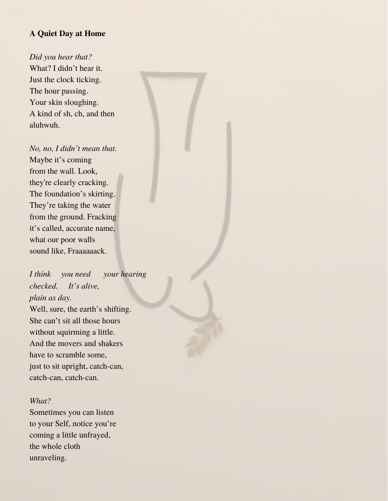# **A Quiet Day at Home**

*Did you hear that?* What? I didn't hear it. Just the clock ticking. The hour passing. Your skin sloughing. A kind of sh, ch, and then aluhwuh.

*No, no, I didn't mean that.* Maybe it's coming from the wall. Look, they're clearly cracking. The foundation's skirting. They're taking the water from the ground. Fracking it's called, accurate name, what our poor walls sound like, Fraaaaaack.

*I think you need your hearing checked. It's alive, plain as day.* Well, sure, the earth's shifting. She can't sit all those hours

without squirming a little. And the movers and shakers have to scramble some, just to sit upright, catch-can, catch-can, catch-can.

### *What?*

Sometimes you can listen to your Self, notice you're coming a little unfrayed, the whole cloth unraveling.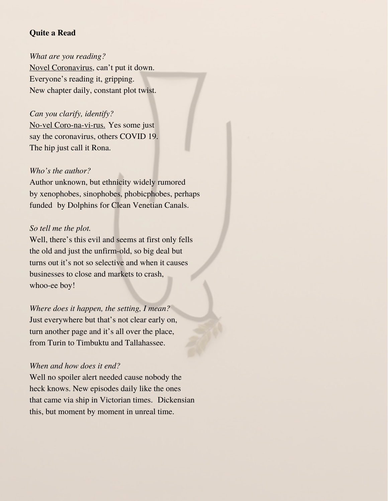# **Quite a Read**

### *What are you reading?*

Novel Coronavirus, can't put it down. Everyone's reading it, gripping. New chapter daily, constant plot twist.

### *Can you clarify, identify?*

No-vel Coro-na-vi-rus. Yes some just say the coronavirus, others COVID 19. The hip just call it Rona.

### *Who's the author?*

Author unknown, but ethnicity widely rumored by xenophobes, sinophobes, phobicphobes, perhaps funded by Dolphins for Clean Venetian Canals.

#### *So tell me the plot.*

Well, there's this evil and seems at first only fells the old and just the unfirm-old, so big deal but turns out it's not so selective and when it causes businesses to close and markets to crash, whoo-ee boy!

*Where does it happen, the setting, I mean?* Just everywhere but that's not clear early on, turn another page and it's all over the place, from Turin to Timbuktu and Tallahassee.

## *When and how does it end?*

Well no spoiler alert needed cause nobody the heck knows. New episodes daily like the ones that came via ship in Victorian times. Dickensian this, but moment by moment in unreal time.